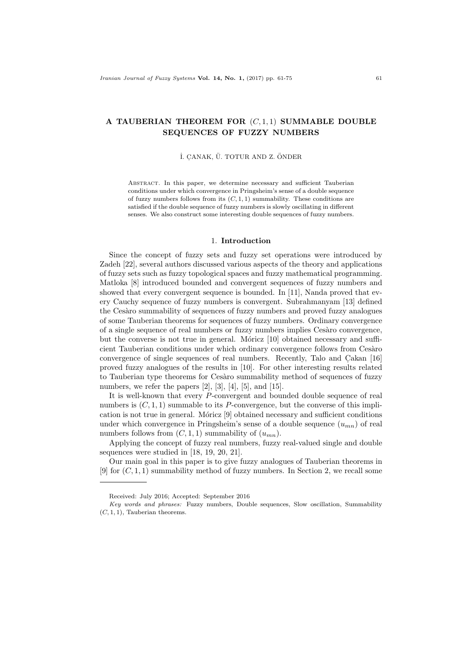# A TAUBERIAN THEOREM FOR  $(C, 1, 1)$  SUMMABLE DOUBLE SEQUENCES OF FUZZY NUMBERS

## İ. CANAK, Ü. TOTUR AND Z. ÖNDER

Abstract. In this paper, we determine necessary and sufficient Tauberian conditions under which convergence in Pringsheim's sense of a double sequence of fuzzy numbers follows from its  $(C, 1, 1)$  summability. These conditions are satisfied if the double sequence of fuzzy numbers is slowly oscillating in different senses. We also construct some interesting double sequences of fuzzy numbers.

#### 1. Introduction

Since the concept of fuzzy sets and fuzzy set operations were introduced by Zadeh [22], several authors discussed various aspects of the theory and applications of fuzzy sets such as fuzzy topological spaces and fuzzy mathematical programming. Matloka [8] introduced bounded and convergent sequences of fuzzy numbers and showed that every convergent sequence is bounded. In [11], Nanda proved that every Cauchy sequence of fuzzy numbers is convergent. Subrahmanyam [13] defined the Cesàro summability of sequences of fuzzy numbers and proved fuzzy analogues of some Tauberian theorems for sequences of fuzzy numbers. Ordinary convergence of a single sequence of real numbers or fuzzy numbers implies Cesàro convergence, but the converse is not true in general. Móricz  $[10]$  obtained necessary and sufficient Tauberian conditions under which ordinary convergence follows from Cesàro convergence of single sequences of real numbers. Recently, Talo and Cakan  $[16]$ proved fuzzy analogues of the results in [10]. For other interesting results related to Tauberian type theorems for Cesàro summability method of sequences of fuzzy numbers, we refer the papers  $[2]$ ,  $[3]$ ,  $[4]$ ,  $[5]$ , and  $[15]$ .

It is well-known that every P-convergent and bounded double sequence of real numbers is  $(C, 1, 1)$  summable to its P-convergence, but the converse of this implication is not true in general. Móricz  $[9]$  obtained necessary and sufficient conditions under which convergence in Pringsheim's sense of a double sequence  $(u_{mn})$  of real numbers follows from  $(C, 1, 1)$  summability of  $(u_{mn})$ .

Applying the concept of fuzzy real numbers, fuzzy real-valued single and double sequences were studied in [18, 19, 20, 21].

Our main goal in this paper is to give fuzzy analogues of Tauberian theorems in [9] for  $(C, 1, 1)$  summability method of fuzzy numbers. In Section 2, we recall some

Received: July 2016; Accepted: September 2016

Key words and phrases: Fuzzy numbers, Double sequences, Slow oscillation, Summability  $(C, 1, 1)$ , Tauberian theorems.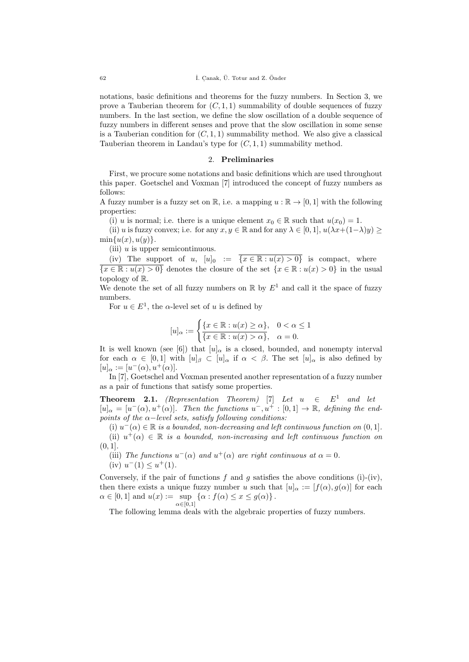notations, basic definitions and theorems for the fuzzy numbers. In Section 3, we prove a Tauberian theorem for  $(C, 1, 1)$  summability of double sequences of fuzzy numbers. In the last section, we define the slow oscillation of a double sequence of fuzzy numbers in different senses and prove that the slow oscillation in some sense is a Tauberian condition for  $(C, 1, 1)$  summability method. We also give a classical Tauberian theorem in Landau's type for  $(C, 1, 1)$  summability method.

## 2. Preliminaries

First, we procure some notations and basic definitions which are used throughout this paper. Goetschel and Voxman [7] introduced the concept of fuzzy numbers as follows:

A fuzzy number is a fuzzy set on  $\mathbb{R}$ , i.e. a mapping  $u : \mathbb{R} \to [0,1]$  with the following properties:

(i) u is normal; i.e. there is a unique element  $x_0 \in \mathbb{R}$  such that  $u(x_0) = 1$ .

(ii) u is fuzzy convex; i.e. for any  $x, y \in \mathbb{R}$  and for any  $\lambda \in [0, 1], u(\lambda x + (1-\lambda)y) \ge$  $min{u(x), u(y)}$ .

(iii)  $u$  is upper semicontinuous.

(iv) The support of u,  $[u]_0 := \overline{\{x \in \mathbb{R} : u(x) > 0\}}$  is compact, where  ${x \in \mathbb{R} : u(x) > 0}$  denotes the closure of the set  ${x \in \mathbb{R} : u(x) > 0}$  in the usual topology of R.

We denote the set of all fuzzy numbers on  $\mathbb R$  by  $E^1$  and call it the space of fuzzy numbers.

For  $u \in E^1$ , the  $\alpha$ -level set of u is defined by

$$
[u]_{\alpha} := \begin{cases} \{x \in \mathbb{R} : u(x) \ge \alpha\}, & 0 < \alpha \le 1\\ \overline{\{x \in \mathbb{R} : u(x) > \alpha\}}, & \alpha = 0. \end{cases}
$$

It is well known (see [6]) that  $[u]_{\alpha}$  is a closed, bounded, and nonempty interval for each  $\alpha \in [0,1]$  with  $[u]_{\beta} \subset [u]_{\alpha}$  if  $\alpha < \beta$ . The set  $[u]_{\alpha}$  is also defined by  $[u]_{\alpha} := [u^-(\alpha), u^+(\alpha)].$ 

In [7], Goetschel and Voxman presented another representation of a fuzzy number as a pair of functions that satisfy some properties.

**Theorem 2.1.** (Representation Theorem) [7] Let  $u \in E^1$  and let  $[u]_{\alpha} = [u^-(\alpha), u^+(\alpha)].$  Then the functions  $u^-, u^+ : [0,1] \to \mathbb{R}$ , defining the endpoints of the  $\alpha$ -level sets, satisfy following conditions:

(i)  $u^-(\alpha) \in \mathbb{R}$  is a bounded, non-decreasing and left continuous function on  $(0, 1]$ .

(ii)  $u^+(\alpha) \in \mathbb{R}$  is a bounded, non-increasing and left continuous function on  $(0, 1]$ .

(iii) The functions  $u^-(\alpha)$  and  $u^+(\alpha)$  are right continuous at  $\alpha = 0$ . (iv)  $u^-(1) \leq u^+(1)$ .

Conversely, if the pair of functions  $f$  and  $g$  satisfies the above conditions (i)-(iv), then there exists a unique fuzzy number u such that  $[u]_{\alpha} := [f(\alpha), q(\alpha)]$  for each  $\alpha \in [0,1]$  and  $u(x) := \sup \{ \alpha : f(\alpha) \leq x \leq g(\alpha) \}.$  $\alpha \in [0,1]$ 

The following lemma deals with the algebraic properties of fuzzy numbers.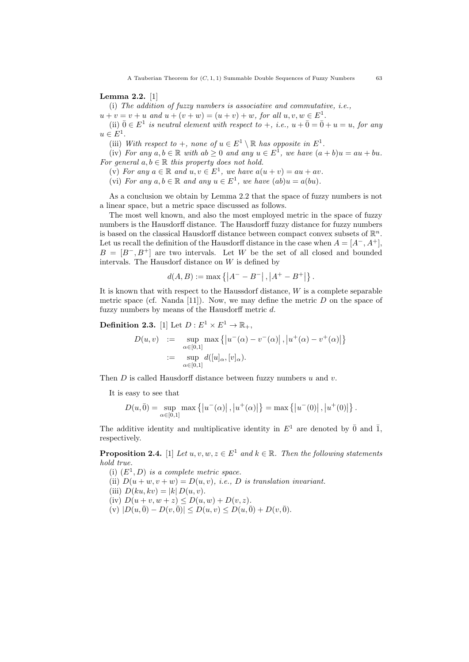#### Lemma 2.2. [1]

(i) The addition of fuzzy numbers is associative and commutative, i.e.,

 $u + v = v + u$  and  $u + (v + w) = (u + v) + w$ , for all  $u, v, w \in E<sup>1</sup>$ .

(ii)  $\bar{0} \in E^1$  is neutral element with respect to  $+, i.e., u + \bar{0} = \bar{0} + u = u,$  for any  $u \in E^1$ .

(iii) With respect to  $+$ , none of  $u \in E^1 \setminus \mathbb{R}$  has opposite in  $E^1$ .

(iv) For any  $a, b \in \mathbb{R}$  with  $ab \ge 0$  and any  $u \in E^1$ , we have  $(a + b)u = au + bu$ . For general  $a, b \in \mathbb{R}$  this property does not hold.

(v) For any  $a \in \mathbb{R}$  and  $u, v \in E^1$ , we have  $a(u + v) = au + av$ .

(vi) For any  $a, b \in \mathbb{R}$  and any  $u \in E^1$ , we have  $(ab)u = a(bu)$ .

As a conclusion we obtain by Lemma 2.2 that the space of fuzzy numbers is not a linear space, but a metric space discussed as follows.

The most well known, and also the most employed metric in the space of fuzzy numbers is the Hausdorff distance. The Hausdorff fuzzy distance for fuzzy numbers is based on the classical Hausdorff distance between compact convex subsets of  $\mathbb{R}^n$ . Let us recall the definition of the Hausdorff distance in the case when  $A = [A^-, A^+]$ ,  $B = [B^-, B^+]$  are two intervals. Let W be the set of all closed and bounded intervals. The Hausdorf distance on  $W$  is defined by

$$
d(A, B) := \max \{ |A^{-} - B^{-}|, |A^{+} - B^{+}| \}.
$$

It is known that with respect to the Haussdorf distance,  $W$  is a complete separable metric space (cf. Nanda [11]). Now, we may define the metric  $D$  on the space of fuzzy numbers by means of the Hausdorff metric  $d$ .

**Definition 2.3.** [1] Let  $D: E^1 \times E^1 \to \mathbb{R}_+$ ,

$$
D(u, v) := \sup_{\alpha \in [0,1]} \max \left\{ \left| u^-(\alpha) - v^-(\alpha) \right|, \left| u^+(\alpha) - v^+(\alpha) \right| \right\}
$$
  
 := 
$$
\sup_{\alpha \in [0,1]} d([u]_\alpha, [v]_\alpha).
$$

Then  $D$  is called Hausdorff distance between fuzzy numbers  $u$  and  $v$ .

It is easy to see that

$$
D(u, \bar{0}) = \sup_{\alpha \in [0,1]} \max \left\{ \left| u^-(\alpha) \right|, \left| u^+(\alpha) \right| \right\} = \max \left\{ \left| u^-(0) \right|, \left| u^+(0) \right| \right\}.
$$

The additive identity and multiplicative identity in  $E^1$  are denoted by  $\bar{0}$  and  $\bar{1}$ , respectively.

**Proposition 2.4.** [1] Let  $u, v, w, z \in E^1$  and  $k \in \mathbb{R}$ . Then the following statements hold true.

(i)  $(E^1, D)$  is a complete metric space.

(ii)  $D(u + w, v + w) = D(u, v)$ , *i.e.*, *D* is translation invariant.

(iii)  $D(ku, kv) = |k| D(u, v)$ .

(iv)  $D(u + v, w + z) \le D(u, w) + D(v, z)$ .

 $(v) |D(u, \bar{0}) - D(v, \bar{0})| \leq D(u, v) \leq D(u, \bar{0}) + D(v, \bar{0}).$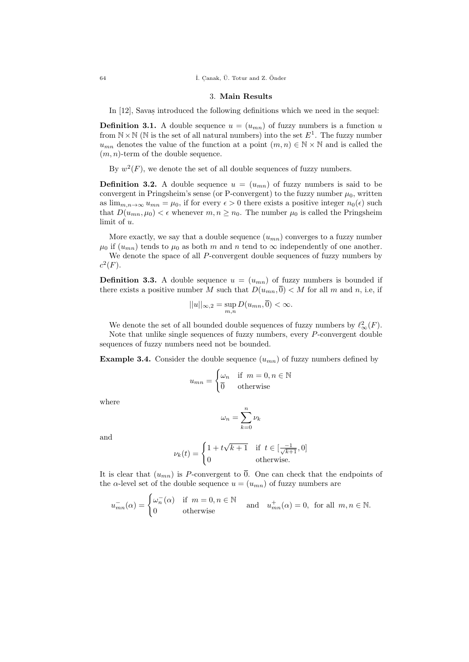$i.$  Canak,  $\ddot{U}$ . Totur and Z. Önder

#### 3. Main Results

In [12], Savas introduced the following definitions which we need in the sequel:

**Definition 3.1.** A double sequence  $u = (u_{mn})$  of fuzzy numbers is a function u from  $N \times N$  (N is the set of all natural numbers) into the set  $E<sup>1</sup>$ . The fuzzy number  $u_{mn}$  denotes the value of the function at a point  $(m, n) \in \mathbb{N} \times \mathbb{N}$  and is called the  $(m, n)$ -term of the double sequence.

By  $w^2(F)$ , we denote the set of all double sequences of fuzzy numbers.

**Definition 3.2.** A double sequence  $u = (u_{mn})$  of fuzzy numbers is said to be convergent in Pringsheim's sense (or P-convergent) to the fuzzy number  $\mu_0$ , written as  $\lim_{m,n\to\infty} u_{mn} = \mu_0$ , if for every  $\epsilon > 0$  there exists a positive integer  $n_0(\epsilon)$  such that  $D(u_{mn}, \mu_0) < \epsilon$  whenever  $m, n \geq n_0$ . The number  $\mu_0$  is called the Pringsheim limit of u.

More exactly, we say that a double sequence  $(u_{mn})$  converges to a fuzzy number  $\mu_0$  if  $(u_{mn})$  tends to  $\mu_0$  as both m and n tend to  $\infty$  independently of one another. We denote the space of all P-convergent double sequences of fuzzy numbers by  $c^2(F)$ .

**Definition 3.3.** A double sequence  $u = (u_{mn})$  of fuzzy numbers is bounded if there exists a positive number M such that  $D(u_{mn}, \overline{0}) < M$  for all m and n, i.e, if

$$
||u||_{\infty,2} = \sup_{m,n} D(u_{mn}, \overline{0}) < \infty.
$$

We denote the set of all bounded double sequences of fuzzy numbers by  $\ell^2_{\infty}(F)$ .

Note that unlike single sequences of fuzzy numbers, every P-convergent double sequences of fuzzy numbers need not be bounded.

**Example 3.4.** Consider the double sequence  $(u_{mn})$  of fuzzy numbers defined by

$$
u_{mn} = \begin{cases} \omega_n & \text{if } m = 0, n \in \mathbb{N} \\ \overline{0} & \text{otherwise} \end{cases}
$$

where

$$
\omega_n = \sum_{k=0}^n \nu_k
$$

and

$$
\nu_k(t) = \begin{cases} 1 + t\sqrt{k+1} & \text{if } t \in [\frac{-1}{\sqrt{k+1}}, 0] \\ 0 & \text{otherwise.} \end{cases}
$$

It is clear that  $(u_{mn})$  is P-convergent to  $\overline{0}$ . One can check that the endpoints of the  $\alpha$ -level set of the double sequence  $u = (u_{mn})$  of fuzzy numbers are

$$
u_{mn}^{-}(\alpha) = \begin{cases} \omega_n^{-}(\alpha) & \text{if } m = 0, n \in \mathbb{N} \\ 0 & \text{otherwise} \end{cases} \quad \text{and} \quad u_{mn}^{+}(\alpha) = 0, \text{ for all } m, n \in \mathbb{N}.
$$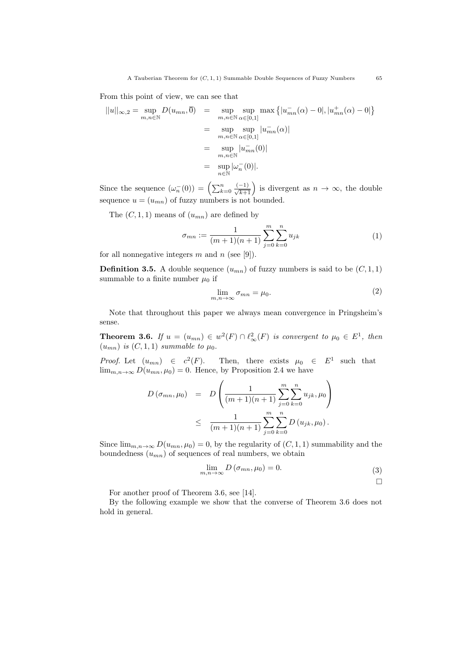From this point of view, we can see that

$$
||u||_{\infty,2} = \sup_{m,n \in \mathbb{N}} D(u_{mn}, \overline{0}) = \sup_{m,n \in \mathbb{N}} \sup_{\alpha \in [0,1]} \max\left\{|u_{mn}^-(\alpha) - 0|, |u_{mn}^+(\alpha) - 0|\right\}
$$

$$
= \sup_{m,n \in \mathbb{N}} \sup_{\alpha \in [0,1]} |u_{mn}^-(\alpha)|
$$

$$
= \sup_{m,n \in \mathbb{N}} |u_{mn}^-(0)|
$$

$$
= \sup_{n \in \mathbb{N}} |\omega_n^-(0)|.
$$

Since the sequence  $(\omega_n^{-}(0)) = \left(\sum_{k=0}^n \frac{(-1)}{\sqrt{k+1}}\right)$  is divergent as  $n \to \infty$ , the double sequence  $u = (u_{mn})$  of fuzzy numbers is not bounded.

The  $(C, 1, 1)$  means of  $(u_{mn})$  are defined by

$$
\sigma_{mn} := \frac{1}{(m+1)(n+1)} \sum_{j=0}^{m} \sum_{k=0}^{n} u_{jk}
$$
\n(1)

for all nonnegative integers  $m$  and  $n$  (see [9]).

**Definition 3.5.** A double sequence  $(u_{mn})$  of fuzzy numbers is said to be  $(C, 1, 1)$ summable to a finite number  $\mu_0$  if

$$
\lim_{m,n \to \infty} \sigma_{mn} = \mu_0. \tag{2}
$$

Note that throughout this paper we always mean convergence in Pringsheim's sense.

**Theorem 3.6.** If  $u = (u_{mn}) \in w^2(F) \cap \ell^2_{\infty}(F)$  is convergent to  $\mu_0 \in E^1$ , then  $(u_{mn})$  is  $(C, 1, 1)$  summable to  $\mu_0$ .

*Proof.* Let  $(u_{mn}) \in c^2(F)$ . Then, there exists  $\mu_0 \in E^1$  such that  $\lim_{m,n\to\infty} D(u_{mn},\mu_0)=0.$  Hence, by Proposition 2.4 we have

$$
D(\sigma_{mn}, \mu_0) = D\left(\frac{1}{(m+1)(n+1)} \sum_{j=0}^{m} \sum_{k=0}^{n} u_{jk}, \mu_0\right)
$$
  

$$
\leq \frac{1}{(m+1)(n+1)} \sum_{j=0}^{m} \sum_{k=0}^{n} D(u_{jk}, \mu_0).
$$

Since  $\lim_{m,n\to\infty} D(u_{mn},\mu_0)=0$ , by the regularity of  $(C,1,1)$  summability and the boundedness  $(u_{mn})$  of sequences of real numbers, we obtain

$$
\lim_{m,n \to \infty} D(\sigma_{mn}, \mu_0) = 0.
$$
\n(3)

For another proof of Theorem 3.6, see [14].

By the following example we show that the converse of Theorem 3.6 does not hold in general.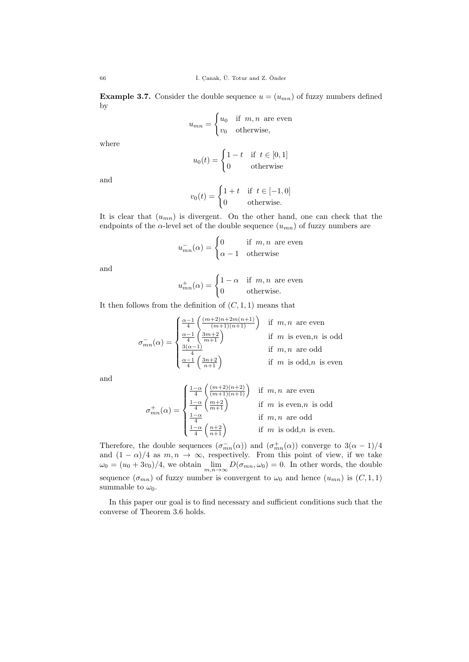**Example 3.7.** Consider the double sequence  $u = (u_{mn})$  of fuzzy numbers defined by

$$
u_{mn} = \begin{cases} u_0 & \text{if } m, n \text{ are even} \\ v_0 & \text{otherwise,} \end{cases}
$$

where

$$
u_0(t) = \begin{cases} 1 - t & \text{if } t \in [0, 1] \\ 0 & \text{otherwise} \end{cases}
$$

and

$$
v_0(t) = \begin{cases} 1+t & \text{if } t \in [-1,0] \\ 0 & \text{otherwise.} \end{cases}
$$

It is clear that  $(u_{mn})$  is divergent. On the other hand, one can check that the endpoints of the  $\alpha$ -level set of the double sequence  $(u_{mn})$  of fuzzy numbers are

$$
u_{mn}^{-}(\alpha) = \begin{cases} 0 & \text{if } m, n \text{ are even} \\ \alpha - 1 & \text{otherwise} \end{cases}
$$

and

$$
u_{mn}^{+}(\alpha) = \begin{cases} 1 - \alpha & \text{if } m, n \text{ are even} \\ 0 & \text{otherwise.} \end{cases}
$$

It then follows from the definition of  $(C, 1, 1)$  means that

$$
\sigma_{mn}^-(\alpha)=\begin{cases} \frac{\alpha-1}{4}\left(\frac{(m+2)n+2m(n+1)}{(m+1)(n+1)}\right) & \text{if $m,n$ are even} \\ \frac{\alpha-1}{4}\left(\frac{3m+2}{m+1}\right) & \text{if $m$ is even, $n$ is odd} \\ \frac{3(\alpha-1)}{4} & \text{if $m,n$ are odd} \\ \frac{\alpha-1}{4}\left(\frac{3n+2}{n+1}\right) & \text{if $m$ is odd, $n$ is even} \end{cases}
$$

and

$$
\sigma_{mn}^{+}(\alpha) = \begin{cases} \frac{1-\alpha}{4} \left( \frac{(m+2)(n+2)}{(m+1)(n+1)} \right) & \text{if } m, n \text{ are even} \\ \frac{1-\alpha}{4} \left( \frac{m+2}{m+1} \right) & \text{if } m \text{ is even, } n \text{ is odd} \\ \frac{1-\alpha}{4} & \text{if } m, n \text{ are odd} \\ \frac{1-\alpha}{4} \left( \frac{n+2}{n+1} \right) & \text{if } m \text{ is odd, } n \text{ is even.} \end{cases}
$$

Therefore, the double sequences  $(\sigma_{mn}^-(\alpha))$  and  $(\sigma_{mn}^+(\alpha))$  converge to  $3(\alpha-1)/4$ and  $(1 - \alpha)/4$  as  $m, n \to \infty$ , respectively. From this point of view, if we take  $\omega_0 = (u_0 + 3v_0)/4$ , we obtain  $\lim_{m,n \to \infty} D(\sigma_{mn}, \omega_0) = 0$ . In other words, the double sequence  $(\sigma_{mn})$  of fuzzy number is convergent to  $\omega_0$  and hence  $(u_{mn})$  is  $(C, 1, 1)$ summable to  $\omega_0$ .

In this paper our goal is to find necessary and sufficient conditions such that the converse of Theorem 3.6 holds.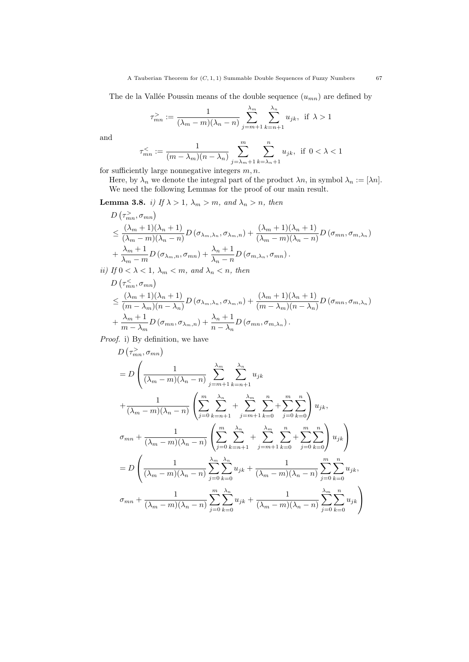The de la Vallée Poussin means of the double sequence  $(u_{mn})$  are defined by

$$
\tau_{mn}^>:=\frac{1}{(\lambda_m-m)(\lambda_n-n)}\sum_{j=m+1}^{\lambda_m}\sum_{k=n+1}^{\lambda_n}u_{jk},\ \, \text{if}\ \, \lambda>1
$$

and

$$
\tau_{mn}^{\lt}\coloneqq \frac{1}{(m-\lambda_m)(n-\lambda_n)}\sum_{j=\lambda_m+1}^m\sum_{k=\lambda_n+1}^nu_{jk},\;\;\text{if}\;\;0<\lambda<1
$$

for sufficiently large nonnegative integers  $m, n$ .

Here, by  $\lambda_n$  we denote the integral part of the product  $\lambda_n$ , in symbol  $\lambda_n := [\lambda_n]$ . We need the following Lemmas for the proof of our main result.

**Lemma 3.8.** i) If  $\lambda > 1$ ,  $\lambda_m > m$ , and  $\lambda_n > n$ , then

$$
D\left(\tau_{mn}^> \sigma_{mn}\right)
$$
  
\n
$$
\leq \frac{(\lambda_m + 1)(\lambda_n + 1)}{(\lambda_m - m)(\lambda_n - n)} D\left(\sigma_{\lambda_m, \lambda_n}, \sigma_{\lambda_m, n}\right) + \frac{(\lambda_m + 1)(\lambda_n + 1)}{(\lambda_m - m)(\lambda_n - n)} D\left(\sigma_{mn}, \sigma_{m, \lambda_n}\right)
$$
  
\n
$$
+ \frac{\lambda_m + 1}{\lambda_m - m} D\left(\sigma_{\lambda_m, n}, \sigma_{mn}\right) + \frac{\lambda_n + 1}{\lambda_n - n} D\left(\sigma_{m, \lambda_n}, \sigma_{mn}\right).
$$

ii) If  $0 < \lambda < 1$ ,  $\lambda_m < m$ , and  $\lambda_n < n$ , then

$$
D\left(\tau_{mn}^{\leq},\sigma_{mn}\right)
$$
  
\n
$$
\leq \frac{(\lambda_m+1)(\lambda_n+1)}{(m-\lambda_m)(n-\lambda_n)}D\left(\sigma_{\lambda_m,\lambda_n},\sigma_{\lambda_m,n}\right)+\frac{(\lambda_m+1)(\lambda_n+1)}{(m-\lambda_m)(n-\lambda_n)}D\left(\sigma_{mn},\sigma_{m,\lambda_n}\right)
$$
  
\n
$$
+\frac{\lambda_m+1}{m-\lambda_m}D\left(\sigma_{mn},\sigma_{\lambda_m,n}\right)+\frac{\lambda_n+1}{n-\lambda_n}D\left(\sigma_{mn},\sigma_{m,\lambda_n}\right).
$$

Proof. i) By definition, we have

$$
D(\tau_{mn}^>, \sigma_{mn})
$$
  
=  $D\left(\frac{1}{(\lambda_m - m)(\lambda_n - n)} \sum_{j=m+1}^{\lambda_m} \sum_{k=n+1}^{\lambda_n} u_{jk}\right)$   
+  $\frac{1}{(\lambda_m - m)(\lambda_n - n)} \left(\sum_{j=0}^m \sum_{k=n+1}^{\lambda_n} + \sum_{j=m+1}^{\lambda_m} \sum_{k=0}^n + \sum_{j=0}^m \sum_{k=0}^n\right) u_{jk},$   
 $\sigma_{mn} + \frac{1}{(\lambda_m - m)(\lambda_n - n)} \left(\sum_{j=0}^m \sum_{k=n+1}^{\lambda_n} + \sum_{j=m+1}^{\lambda_m} \sum_{k=0}^n + \sum_{j=0}^m \sum_{k=0}^n\right) u_{jk}\right)$   
=  $D\left(\frac{1}{(\lambda_m - m)(\lambda_n - n)} \sum_{j=0}^{\lambda_m} \sum_{k=0}^{\lambda_n} u_{jk} + \frac{1}{(\lambda_m - m)(\lambda_n - n)} \sum_{j=0}^m \sum_{k=0}^n u_{jk},$   
 $\sigma_{mn} + \frac{1}{(\lambda_m - m)(\lambda_n - n)} \sum_{j=0}^m \sum_{k=0}^{\lambda_n} u_{jk} + \frac{1}{(\lambda_m - m)(\lambda_n - n)} \sum_{j=0}^{\lambda_m} \sum_{k=0}^n u_{jk}\right)$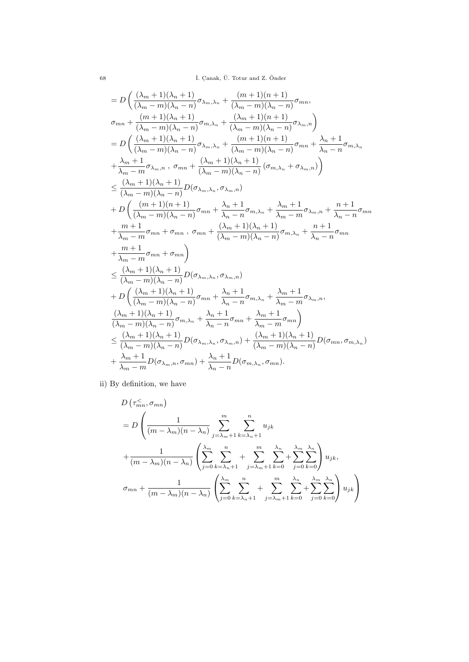$$
= D\left(\frac{(\lambda_m + 1)(\lambda_n + 1)}{(\lambda_m - m)(\lambda_n - n)}\sigma_{\lambda_m, \lambda_n} + \frac{(m+1)(n+1)}{(\lambda_m - m)(\lambda_n - n)}\sigma_{mn},\right.\\ \sigma_{mn} + \frac{(m+1)(\lambda_n + 1)}{(\lambda_m - m)(\lambda_n - n)}\sigma_{m,\lambda_n} + \frac{(\lambda_m + 1)(n+1)}{(\lambda_m - m)(\lambda_n - n)}\sigma_{\lambda_m, n}\right)
$$
  
\n
$$
= D\left(\frac{(\lambda_m + 1)(\lambda_n + 1)}{(\lambda_m - m)(\lambda_n - n)}\sigma_{\lambda_m, \lambda_n} + \frac{(m+1)(n+1)}{(\lambda_m - m)(\lambda_n - n)}\sigma_{mn} + \frac{\lambda_n + 1}{\lambda_n - n}\sigma_{m,\lambda_n}\right.\\ \left. + \frac{\lambda_m + 1}{\lambda_m - m}\sigma_{\lambda_m, n} , \sigma_{mn} + \frac{(\lambda_m + 1)(\lambda_n + 1)}{(\lambda_m - m)(\lambda_n - n)}(\sigma_{m,\lambda_n} + \sigma_{\lambda_m, n})\right)
$$
  
\n
$$
\leq \frac{(\lambda_m + 1)(\lambda_n + 1)}{(\lambda_m - m)(\lambda_n - n)}D(\sigma_{\lambda_m, \lambda_n}, \sigma_{\lambda_m, n})
$$
  
\n+ D\left(\frac{(m+1)(n+1)}{(\lambda\_m - m)(\lambda\_n - n)}\sigma\_{mn} + \frac{\lambda\_n + 1}{\lambda\_n - n}\sigma\_{m,\lambda\_n} + \frac{\lambda\_m + 1}{\lambda\_n - n}\sigma\_{\lambda\_m, n} + \frac{n+1}{\lambda\_n - n}\sigma\_{mn}\right.\\ \left. + \frac{m+1}{\lambda\_m - m}\sigma\_{mn} + \sigma\_{mn}\right)  
\n
$$
\leq \frac{(\lambda_m + 1)(\lambda_n + 1)}{(\lambda_m - m)(\lambda_n - n)}D(\sigma_{\lambda_m, \lambda_n}, \sigma_{\lambda_m, n})
$$
  
\n+ D\left(\frac{(\lambda\_m + 1)(\lambda\_n + 1)}{(\lambda\_m - m)(\lambda\_n - n)}\sigma\_{mn} + \frac{\lambda\_n + 1}{\lambda\_n - n}\sigma\_{m,\lambda\_n} + \frac{\lambda\_m + 1}{\lambda\_m - m}\sigma\_{\lambda\_m, n}, \frac{(\lambda\_m + 1)(\lambda\_n + 1)}{(\lambda\_m - m)(\lambda\_n - n)}\sigma\_{m,\lambda\_n} + \frac{\lambda\_n + 1}{

ii) By definition, we have

$$
D\left(\tau_{mn}^{\leq}, \sigma_{mn}\right)
$$
  
= 
$$
D\left(\frac{1}{(m-\lambda_m)(n-\lambda_n)}\sum_{j=\lambda_m+1}^m \sum_{k=\lambda_n+1}^n u_{jk}\right)
$$
  
+ 
$$
\frac{1}{(m-\lambda_m)(n-\lambda_n)}\left(\sum_{j=0}^{\lambda_m} \sum_{k=\lambda_n+1}^n + \sum_{j=\lambda_m+1}^m \sum_{k=0}^{\lambda_n} + \sum_{j=0}^{\lambda_m} \sum_{k=0}^{\lambda_n}\right)u_{jk},
$$
  

$$
\sigma_{mn} + \frac{1}{(m-\lambda_m)(n-\lambda_n)}\left(\sum_{j=0}^{\lambda_m} \sum_{k=\lambda_n+1}^n + \sum_{j=\lambda_m+1}^m \sum_{k=0}^{\lambda_n} + \sum_{j=0}^{\lambda_m} \sum_{k=0}^{\lambda_n}\right)u_{jk}\right)
$$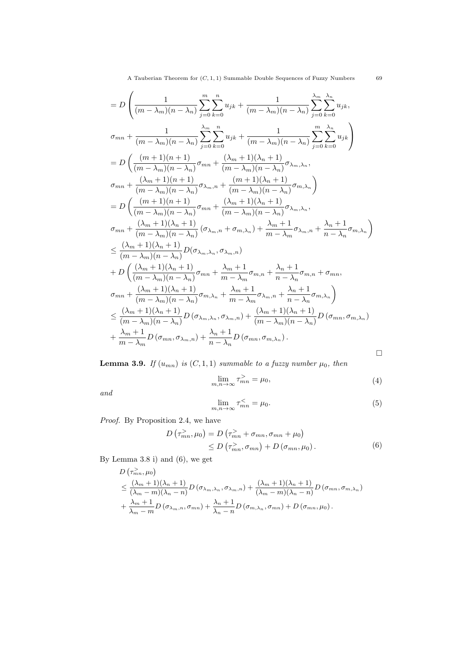A Tauberian Theorem for  $(C, 1, 1)$  Summable Double Sequences of Fuzzy Numbers 69

$$
= D\left(\frac{1}{(m-\lambda_m)(n-\lambda_n)}\sum_{j=0}^{m}\sum_{k=0}^{n}u_{jk}+\frac{1}{(m-\lambda_m)(n-\lambda_n)}\sum_{j=0}^{\lambda_n}\sum_{k=0}^{\lambda_n}u_{jk},\right.\\ \sigma_{mn}+\frac{1}{(m-\lambda_m)(n-\lambda_n)}\sum_{j=0}^{\lambda_m}\sum_{k=0}^{n}u_{jk}+\frac{1}{(m-\lambda_m)(n-\lambda_n)}\sum_{j=0}^{m}\sum_{k=0}^{\lambda_n}u_{jk}\right)
$$
  
\n
$$
= D\left(\frac{(m+1)(n+1)}{(m-\lambda_m)(n-\lambda_n)}\sigma_{mn}+\frac{(\lambda_m+1)(\lambda_n+1)}{(m-\lambda_m)(n-\lambda_n)}\sigma_{\lambda_m,\lambda_n},\right.\\ \sigma_{mn}+\frac{(\lambda_m+1)(n+1)}{(m-\lambda_m)(n-\lambda_n)}\sigma_{\lambda_m,n}+\frac{(m+1)(\lambda_n+1)}{(m-\lambda_m)(n-\lambda_n)}\sigma_{m,\lambda_n}\right)
$$
  
\n
$$
= D\left(\frac{(m+1)(n+1)}{(m-\lambda_m)(n-\lambda_n)}\sigma_{mn}+\frac{(\lambda_m+1)(\lambda_n+1)}{(m-\lambda_m)(n-\lambda_n)}\sigma_{\lambda_m,\lambda_n},\right.\\ \sigma_{mn}+\frac{(\lambda_m+1)(\lambda_n+1)}{(m-\lambda_m)(n-\lambda_n)}(\sigma_{\lambda_m,n}+\sigma_{m,\lambda_n})+\frac{\lambda_m+1}{m-\lambda_m}\sigma_{\lambda_m,n}+\frac{\lambda_n+1}{n-\lambda_n}\sigma_{m,\lambda_n}\right)
$$
  
\n
$$
\leq \frac{(\lambda_m+1)(\lambda_n+1)}{(m-\lambda_m)(n-\lambda_n)}D(\sigma_{\lambda_m,\lambda_n},\sigma_{\lambda_m,n})
$$
  
\n+ D $\left(\frac{(\lambda_m+1)(\lambda_n+1)}{(m-\lambda_m)(n-\lambda_n)}\sigma_{mn}+\frac{\lambda_m+1}{m-\lambda_m}\sigma_{m,n}+\frac{\lambda_n+1}{n-\lambda_n}\sigma_{m,n}+\sigma_{mn},\right.\\ \sigma_{mn}+\frac{(\lambda_m+1)(\lambda_n+1)}{(m-\lambda_m)(n-\lambda_n)}\sigma_{m,\lambda_n}+\frac{\lambda_m+1}{m-\lambda_m}\sigma_{m,n}+\frac{\lambda_n+1}{n-\lambda_n}\sigma_{m,\lambda_n}\right)$   
\n
$$
\leq \frac{(\lambda_m+1)(\lambda_n+1)}{(m-\
$$

**Lemma 3.9.** If  $(u_{mn})$  is  $(C, 1, 1)$  summable to a fuzzy number  $\mu_0$ , then

$$
\lim_{m,n \to \infty} \tau_{mn}^{\geq} = \mu_0,\tag{4}
$$

and

$$
\lim_{m,n \to \infty} \tau_{mn}^{\leq} = \mu_0. \tag{5}
$$

Proof. By Proposition 2.4, we have

$$
D\left(\tau_{mn}^>,\mu_0\right) = D\left(\tau_{mn}^> + \sigma_{mn}, \sigma_{mn} + \mu_0\right)
$$
  
\n
$$
\leq D\left(\tau_{mn}^>, \sigma_{mn}\right) + D\left(\sigma_{mn}, \mu_0\right). \tag{6}
$$

By Lemma 3.8 i) and (6), we get

$$
D\left(\tau_{mn}^2,\mu_0\right)
$$
  
\n
$$
\leq \frac{(\lambda_m+1)(\lambda_n+1)}{(\lambda_m-m)(\lambda_n-n)}D\left(\sigma_{\lambda_m,\lambda_n},\sigma_{\lambda_m,n}\right)+\frac{(\lambda_m+1)(\lambda_n+1)}{(\lambda_m-m)(\lambda_n-n)}D\left(\sigma_{mn},\sigma_{m,\lambda_n}\right)
$$
  
\n
$$
+\frac{\lambda_m+1}{\lambda_m-m}D\left(\sigma_{\lambda_m,n},\sigma_{mn}\right)+\frac{\lambda_n+1}{\lambda_n-n}D\left(\sigma_{m,\lambda_n},\sigma_{mn}\right)+D\left(\sigma_{mn},\mu_0\right).
$$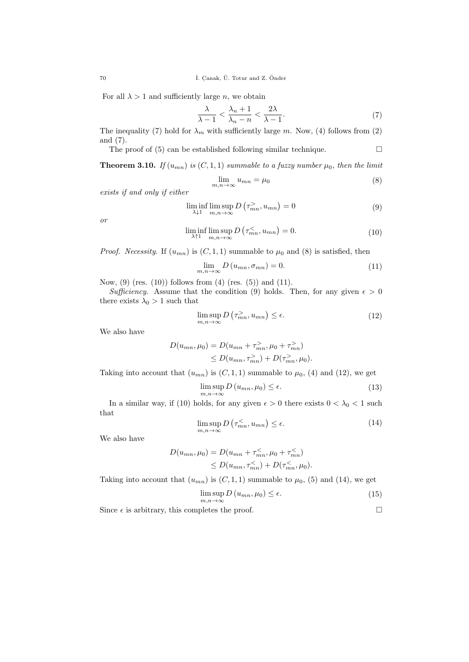<sup>70</sup> ˙I. C. anak, U. Totur and Z. ¨ Onder ¨

For all  $\lambda > 1$  and sufficiently large n, we obtain

$$
\frac{\lambda}{\lambda - 1} < \frac{\lambda_n + 1}{\lambda_n - n} < \frac{2\lambda}{\lambda - 1}.\tag{7}
$$

The inequality (7) hold for  $\lambda_m$  with sufficiently large m. Now, (4) follows from (2) and (7).

The proof of  $(5)$  can be established following similar technique.  $\Box$ 

**Theorem 3.10.** If  $(u_{mn})$  is  $(C, 1, 1)$  summable to a fuzzy number  $\mu_0$ , then the limit

$$
\lim_{m,n \to \infty} u_{mn} = \mu_0 \tag{8}
$$

exists if and only if either

$$
\liminf_{\lambda \downarrow 1} \limsup_{m,n \to \infty} D(\tau_{mn}^>, u_{mn}) = 0 \tag{9}
$$

or

$$
\liminf_{\lambda \uparrow 1} \limsup_{m,n \to \infty} D\left(\tau_{mn}^{\leq}, u_{mn}\right) = 0. \tag{10}
$$

*Proof.* Necessity. If  $(u_{mn})$  is  $(C, 1, 1)$  summable to  $\mu_0$  and  $(8)$  is satisfied, then

$$
\lim_{m,n \to \infty} D(u_{mn}, \sigma_{mn}) = 0.
$$
\n(11)

Now,  $(9)$  (res.  $(10)$ ) follows from  $(4)$  (res.  $(5)$ ) and  $(11)$ .

Sufficiency. Assume that the condition (9) holds. Then, for any given  $\epsilon > 0$ there exists  $\lambda_0 > 1$  such that

$$
\limsup_{m,n \to \infty} D\left(\tau_{mn}^>, u_{mn}\right) \le \epsilon. \tag{12}
$$

We also have

$$
D(u_{mn}, \mu_0) = D(u_{mn} + \tau_{mn}^>, \mu_0 + \tau_{mn}^>)
$$
  
\n
$$
\leq D(u_{mn}, \tau_{mn}^>) + D(\tau_{mn}^-, \mu_0).
$$

Taking into account that  $(u_{mn})$  is  $(C, 1, 1)$  summable to  $\mu_0$ , (4) and (12), we get

$$
\limsup_{m,n \to \infty} D(u_{mn}, \mu_0) \le \epsilon.
$$
\n(13)

In a similar way, if (10) holds, for any given  $\epsilon > 0$  there exists  $0 < \lambda_0 < 1$  such that

$$
\limsup_{m,n \to \infty} D\left(\tau_{mn}^{\lt}, u_{mn}\right) \le \epsilon. \tag{14}
$$

We also have

$$
D(u_{mn}, \mu_0) = D(u_{mn} + \tau_{mn}^<, \mu_0 + \tau_{mn}^<)
$$
  
\n
$$
\leq D(u_{mn}, \tau_{mn}^<) + D(\tau_{mn}^<, \mu_0).
$$

Taking into account that  $(u_{mn})$  is  $(C, 1, 1)$  summable to  $\mu_0$ , (5) and (14), we get

$$
\limsup_{m,n \to \infty} D(u_{mn}, \mu_0) \le \epsilon.
$$
\n(15)

Since  $\epsilon$  is arbitrary, this completes the proof.  $\Box$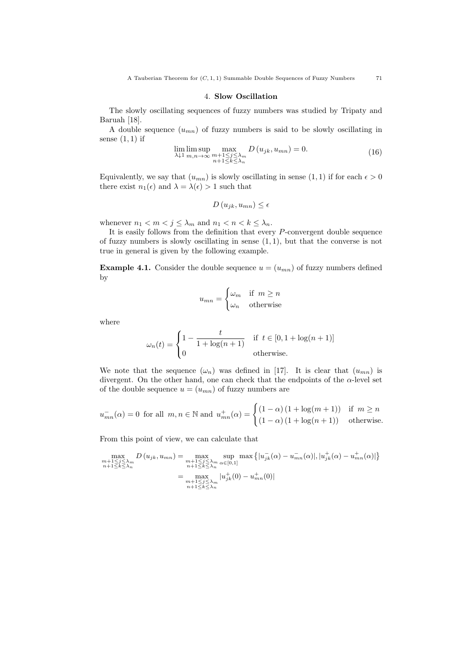#### 4. Slow Oscillation

The slowly oscillating sequences of fuzzy numbers was studied by Tripaty and Baruah [18].

A double sequence  $(u_{mn})$  of fuzzy numbers is said to be slowly oscillating in sense  $(1, 1)$  if

$$
\lim_{\lambda \downarrow 1} \limsup_{m,n \to \infty} \max_{\substack{m+1 \le j \le \lambda_m \\ n+1 \le k \le \lambda_n}} D(u_{jk}, u_{mn}) = 0.
$$
\n(16)

Equivalently, we say that  $(u_{mn})$  is slowly oscillating in sense  $(1, 1)$  if for each  $\epsilon > 0$ there exist  $n_1(\epsilon)$  and  $\lambda = \lambda(\epsilon) > 1$  such that

$$
D(u_{jk}, u_{mn}) \le \epsilon
$$

whenever  $n_1 < m < j \leq \lambda_m$  and  $n_1 < n < k \leq \lambda_n$ .

It is easily follows from the definition that every  $P$ -convergent double sequence of fuzzy numbers is slowly oscillating in sense (1, 1), but that the converse is not true in general is given by the following example.

**Example 4.1.** Consider the double sequence  $u = (u_{mn})$  of fuzzy numbers defined by

$$
u_{mn} = \begin{cases} \omega_m & \text{if } m \ge n \\ \omega_n & \text{otherwise} \end{cases}
$$

where

$$
\omega_n(t) = \begin{cases} 1 - \frac{t}{1 + \log(n+1)} & \text{if } t \in [0, 1 + \log(n+1)] \\ 0 & \text{otherwise.} \end{cases}
$$

We note that the sequence  $(\omega_n)$  was defined in [17]. It is clear that  $(u_{mn})$  is divergent. On the other hand, one can check that the endpoints of the  $\alpha$ -level set of the double sequence  $u = (u_{mn})$  of fuzzy numbers are

$$
u_{mn}^{-}(\alpha) = 0 \text{ for all } m, n \in \mathbb{N} \text{ and } u_{mn}^{+}(\alpha) = \begin{cases} (1 - \alpha) (1 + \log(m + 1)) & \text{if } m \ge n \\ (1 - \alpha) (1 + \log(n + 1)) & \text{otherwise.} \end{cases}
$$

From this point of view, we can calculate that

$$
\max_{\substack{m+1 \le j \le \lambda_m \\ n+1 \le k \le \lambda_n}} D(u_{jk}, u_{mn}) = \max_{\substack{m+1 \le j \le \lambda_m \\ n+1 \le k \le \lambda_n}} \sup_{\alpha \in [0,1]} \max \left\{ |u_{jk}^-(\alpha) - u_{mn}^-(\alpha)|, |u_{jk}^+(\alpha) - u_{mn}^+(\alpha)| \right\}
$$

$$
= \max_{\substack{m+1 \le j \le \lambda_m \\ m+1 \le k \le \lambda_n}} |u_{jk}^+(0) - u_{mn}^+(0)|
$$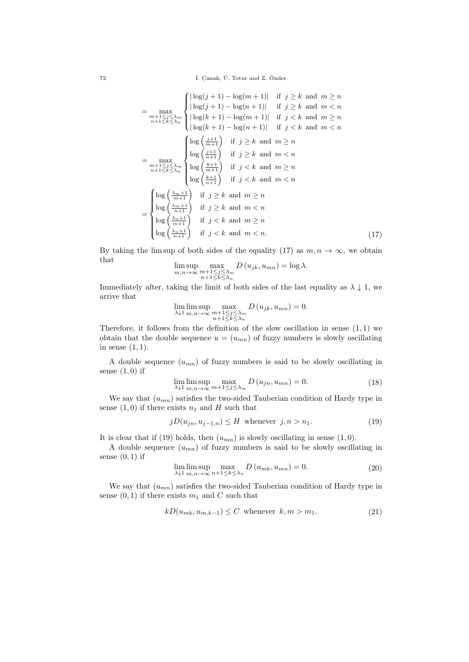$$
= \max_{\substack{m+1 \leq j \leq \lambda_m \\ n+1 \leq j \leq \lambda_n}} \begin{cases} |\log(j+1) - \log(m+1)| & \text{if } j \geq k \text{ and } m \geq n \\ |\log(j+1) - \log(n+1)| & \text{if } j < k \text{ and } m < n \\ |\log(k+1) - \log(m+1)| & \text{if } j < k \text{ and } m \geq n \\ |\log(k+1) - \log(n+1)| & \text{if } j < k \text{ and } m < n \end{cases}
$$
\n
$$
= \max_{\substack{m+1 \leq j \leq \lambda_m \\ n+1 \leq k \leq \lambda_n}} \begin{cases} \log\left(\frac{j+1}{m+1}\right) & \text{if } j \geq k \text{ and } m \geq n \\ \log\left(\frac{j+1}{n+1}\right) & \text{if } j \geq k \text{ and } m < n \\ \log\left(\frac{k+1}{m+1}\right) & \text{if } j < k \text{ and } m < n \end{cases}
$$
\n
$$
= \begin{cases} \log\left(\frac{\lambda_m+1}{m+1}\right) & \text{if } j \geq k \text{ and } m < n \\ \log\left(\frac{k+1}{n+1}\right) & \text{if } j \geq k \text{ and } m < n \\ \log\left(\frac{\lambda_m+1}{n+1}\right) & \text{if } j < k \text{ and } m < n \\ \log\left(\frac{\lambda_n+1}{n+1}\right) & \text{if } j < k \text{ and } m \geq n \\ \log\left(\frac{\lambda_n+1}{n+1}\right) & \text{if } j < k \text{ and } m < n. \end{cases} \tag{17}
$$

By taking the lim sup of both sides of the equality (17) as  $m, n \to \infty$ , we obtain that

$$
\limsup_{m,n\to\infty} \max_{\substack{m+1\leq j\leq\lambda_m\\n+1\leq k\leq\lambda_n}} D(u_{jk}, u_{mn}) = \log \lambda.
$$

Immediately after, taking the limit of both sides of the last equality as  $\lambda \downarrow 1$ , we arrive that

$$
\lim_{\lambda \downarrow 1} \limsup_{m,n \to \infty} \max_{\substack{m+1 \le j \le \lambda_m \\ n+1 \le k \le \lambda_n}} D(u_{jk}, u_{mn}) = 0.
$$

Therefore, it follows from the definition of the slow oscillation in sense  $(1,1)$  we obtain that the double sequence  $u = (u_{mn})$  of fuzzy numbers is slowly oscillating in sense  $(1, 1)$ .

A double sequence  $(u_{mn})$  of fuzzy numbers is said to be slowly oscillating in sense  $(1,0)$  if

$$
\lim_{\lambda \downarrow 1} \limsup_{m,n \to \infty} \max_{m+1 \le j \le \lambda_m} D(u_{jn}, u_{mn}) = 0.
$$
\n(18)

We say that  $(u_{mn})$  satisfies the two-sided Tauberian condition of Hardy type in sense  $(1,0)$  if there exists  $n_1$  and H such that

$$
jD(u_{jn}, u_{j-1,n}) \le H \text{ whenever } j, n > n_1. \tag{19}
$$

It is clear that if (19) holds, then  $(u_{mn})$  is slowly oscillating in sense (1,0).

A double sequence  $(u_{mn})$  of fuzzy numbers is said to be slowly oscillating in sense  $(0, 1)$  if

$$
\lim_{\lambda \downarrow 1} \limsup_{m,n \to \infty} \max_{n+1 \le k \le \lambda_n} D(u_{mk}, u_{mn}) = 0.
$$
\n(20)

We say that  $(u_{mn})$  satisfies the two-sided Tauberian condition of Hardy type in sense  $(0, 1)$  if there exists  $m_1$  and C such that

$$
kD(u_{mk}, u_{m,k-1}) \le C \text{ whenever } k, m > m_1. \tag{21}
$$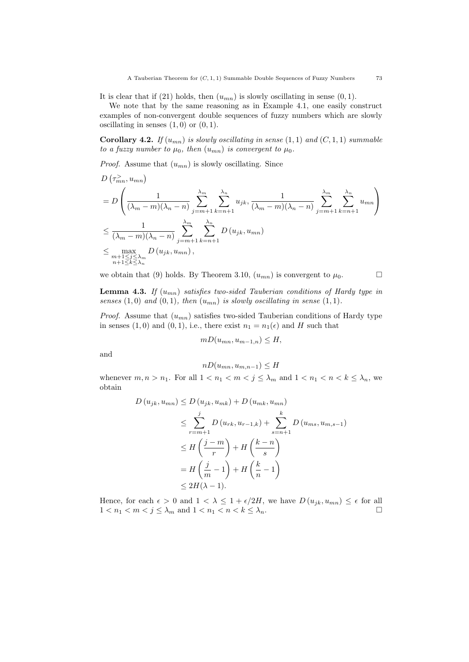It is clear that if (21) holds, then  $(u_{mn})$  is slowly oscillating in sense  $(0, 1)$ .

We note that by the same reasoning as in Example 4.1, one easily construct examples of non-convergent double sequences of fuzzy numbers which are slowly oscillating in senses  $(1, 0)$  or  $(0, 1)$ .

Corollary 4.2. If  $(u_{mn})$  is slowly oscillating in sense  $(1,1)$  and  $(C,1,1)$  summable to a fuzzy number to  $\mu_0$ , then  $(u_{mn})$  is convergent to  $\mu_0$ .

*Proof.* Assume that  $(u_{mn})$  is slowly oscillating. Since

$$
D\left(\tau_{mn}^{\geq}, u_{mn}\right)
$$
\n
$$
= D\left(\frac{1}{(\lambda_m - m)(\lambda_n - n)} \sum_{j=m+1}^{\lambda_m} \sum_{k=n+1}^{\lambda_n} u_{jk}, \frac{1}{(\lambda_m - m)(\lambda_n - n)} \sum_{j=m+1}^{\lambda_m} \sum_{k=n+1}^{\lambda_n} u_{mn}\right)
$$
\n
$$
\leq \frac{1}{(\lambda_m - m)(\lambda_n - n)} \sum_{j=m+1}^{\lambda_m} \sum_{k=n+1}^{\lambda_n} D\left(u_{jk}, u_{mn}\right)
$$
\n
$$
\leq \max_{\substack{m+1 \leq j \leq \lambda_m \\ n+1 \leq k \leq \lambda_n}} D\left(u_{jk}, u_{mn}\right),
$$

we obtain that (9) holds. By Theorem 3.10,  $(u_{mn})$  is convergent to  $\mu_0$ .

**Lemma 4.3.** If  $(u_{mn})$  satisfies two-sided Tauberian conditions of Hardy type in senses  $(1,0)$  and  $(0,1)$ , then  $(u_{mn})$  is slowly oscillating in sense  $(1,1)$ .

*Proof.* Assume that  $(u_{mn})$  satisfies two-sided Tauberian conditions of Hardy type in senses (1,0) and (0,1), i.e., there exist  $n_1 = n_1(\epsilon)$  and H such that

$$
mD(u_{mn}, u_{m-1,n}) \leq H,
$$

and

$$
nD(u_{mn}, u_{m,n-1}) \leq H
$$

whenever  $m, n > n_1$ . For all  $1 < n_1 < m < j \leq \lambda_m$  and  $1 < n_1 < n < k \leq \lambda_n$ , we obtain

$$
D(u_{jk}, u_{mn}) \le D(u_{jk}, u_{mk}) + D(u_{mk}, u_{mn})
$$
  
\n
$$
\le \sum_{r=m+1}^{j} D(u_{rk}, u_{r-1,k}) + \sum_{s=n+1}^{k} D(u_{ms}, u_{m,s-1})
$$
  
\n
$$
\le H\left(\frac{j-m}{r}\right) + H\left(\frac{k-n}{s}\right)
$$
  
\n
$$
= H\left(\frac{j}{m} - 1\right) + H\left(\frac{k}{n} - 1\right)
$$
  
\n
$$
\le 2H(\lambda - 1).
$$

Hence, for each  $\epsilon > 0$  and  $1 < \lambda \leq 1 + \epsilon/2H$ , we have  $D(u_{jk}, u_{mn}) \leq \epsilon$  for all  $1 < n_1 < m < j \leq \lambda_m$  and  $1 < n_1 < n < k \leq \lambda_n$ .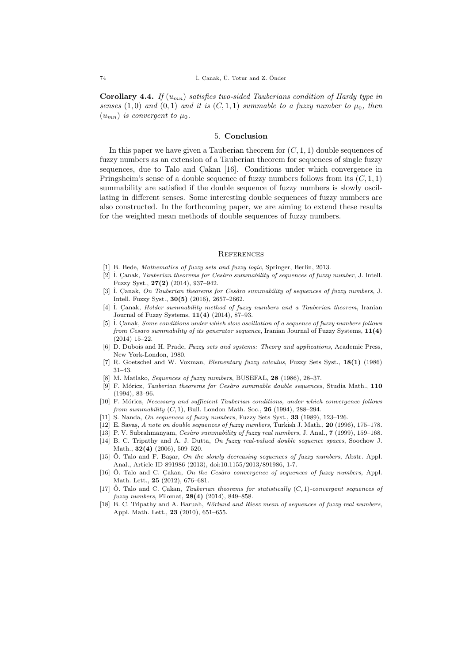**Corollary 4.4.** If  $(u_{mn})$  satisfies two-sided Tauberians condition of Hardy type in senses (1,0) and (0,1) and it is  $(C, 1, 1)$  summable to a fuzzy number to  $\mu_0$ , then  $(u_{mn})$  is convergent to  $\mu_0$ .

### 5. Conclusion

In this paper we have given a Tauberian theorem for  $(C, 1, 1)$  double sequences of fuzzy numbers as an extension of a Tauberian theorem for sequences of single fuzzy sequences, due to Talo and Cakan  $[16]$ . Conditions under which convergence in Pringsheim's sense of a double sequence of fuzzy numbers follows from its  $(C, 1, 1)$ summability are satisfied if the double sequence of fuzzy numbers is slowly oscillating in different senses. Some interesting double sequences of fuzzy numbers are also constructed. In the forthcoming paper, we are aiming to extend these results for the weighted mean methods of double sequences of fuzzy numbers.

#### **REFERENCES**

- [1] B. Bede, Mathematics of fuzzy sets and fuzzy logic, Springer, Berlin, 2013.
- [2]  $I.$  Canak, Tauberian theorems for Cesàro summability of sequences of fuzzy number, J. Intell. Fuzzy Syst., 27(2) (2014), 937–942.
- [3] **I.** Canak, On Tauberian theorems for Cesaro summability of sequences of fuzzy numbers, J. Intell. Fuzzy Syst., 30(5) (2016), 2657–2662.
- [4]  $\dot{I}$ . Canak, Holder summability method of fuzzy numbers and a Tauberian theorem, Iranian Journal of Fuzzy Systems, 11(4) (2014), 87–93.
- [5] I. Canak, Some conditions under which slow oscillation of a sequence of fuzzy numbers follows from Cesaro summability of its generator sequence, Iranian Journal of Fuzzy Systems,  $11(4)$ (2014) 15–22.
- [6] D. Dubois and H. Prade, Fuzzy sets and systems: Theory and applications, Academic Press, New York-London, 1980.
- [7] R. Goetschel and W. Voxman, Elementary fuzzy calculus, Fuzzy Sets Syst., 18(1) (1986) 31–43.
- [8] M. Matlako, Sequences of fuzzy numbers, BUSEFAL, 28 (1986), 28–37.
- [9] F. Móricz, Tauberian theorems for Cesàro summable double sequences, Studia Math.,  $110$ (1994), 83–96.
- [10] F. Móricz, Necessary and sufficient Tauberian conditions, under which convergence follows from summability  $(C, 1)$ , Bull. London Math. Soc., 26 (1994), 288–294.
- [11] S. Nanda, On sequences of fuzzy numbers, Fuzzy Sets Syst., 33 (1989), 123-126.
- [12] E. Savas. , A note on double sequences of fuzzy numbers, Turkish J. Math., 20 (1996), 175–178.
- [13] P. V. Subrahmanyam, *Cesàro summability of fuzzy real numbers*, J. Anal., **7** (1999), 159–168.
- [14] B. C. Tripathy and A. J. Dutta, On fuzzy real-valued double sequence spaces, Soochow J. Math., 32(4) (2006), 509–520.
- [15] Ö. Talo and F. Basar, On the slowly decreasing sequences of fuzzy numbers, Abstr. Appl. Anal., Article ID 891986 (2013), doi:10.1155/2013/891986, 1-7.
- [16] Ö. Talo and C. Cakan, On the Cesàro convergence of sequences of fuzzy numbers, Appl. Math. Lett., 25 (2012), 676–681.
- $[17]$  Ö. Talo and C. Cakan, *Tauberian theorems for statistically*  $(C, 1)$ -convergent sequences of fuzzy numbers, Filomat, 28(4) (2014), 849–858.
- [18] B. C. Tripathy and A. Baruah, Nörlund and Riesz mean of sequences of fuzzy real numbers, Appl. Math. Lett., 23 (2010), 651–655.